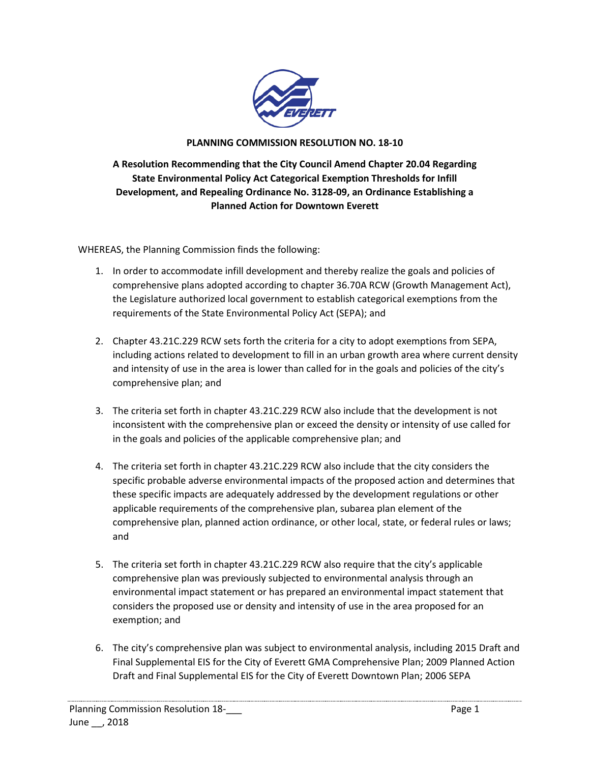

## **PLANNING COMMISSION RESOLUTION NO. 18-10**

**A Resolution Recommending that the City Council Amend Chapter 20.04 Regarding State Environmental Policy Act Categorical Exemption Thresholds for Infill Development, and Repealing Ordinance No. 3128-09, an Ordinance Establishing a Planned Action for Downtown Everett**

WHEREAS, the Planning Commission finds the following:

- 1. In order to accommodate infill development and thereby realize the goals and policies of comprehensive plans adopted according to chapter 36.70A RCW (Growth Management Act), the Legislature authorized local government to establish categorical exemptions from the requirements of the State Environmental Policy Act (SEPA); and
- 2. Chapter 43.21C.229 RCW sets forth the criteria for a city to adopt exemptions from SEPA, including actions related to development to fill in an urban growth area where current density and intensity of use in the area is lower than called for in the goals and policies of the city's comprehensive plan; and
- 3. The criteria set forth in chapter 43.21C.229 RCW also include that the development is not inconsistent with the comprehensive plan or exceed the density or intensity of use called for in the goals and policies of the applicable comprehensive plan; and
- 4. The criteria set forth in chapter 43.21C.229 RCW also include that the city considers the specific probable adverse environmental impacts of the proposed action and determines that these specific impacts are adequately addressed by the development regulations or other applicable requirements of the comprehensive plan, subarea plan element of the comprehensive plan, planned action ordinance, or other local, state, or federal rules or laws; and
- 5. The criteria set forth in chapter 43.21C.229 RCW also require that the city's applicable comprehensive plan was previously subjected to environmental analysis through an environmental impact statement or has prepared an environmental impact statement that considers the proposed use or density and intensity of use in the area proposed for an exemption; and
- 6. The city's comprehensive plan was subject to environmental analysis, including 2015 Draft and Final Supplemental EIS for the City of Everett GMA Comprehensive Plan; 2009 Planned Action Draft and Final Supplemental EIS for the City of Everett Downtown Plan; 2006 SEPA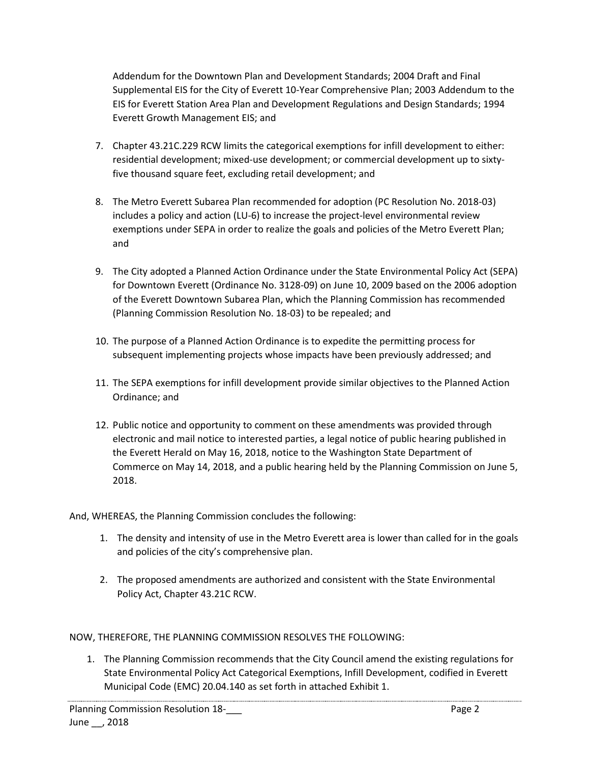Addendum for the Downtown Plan and Development Standards; 2004 Draft and Final Supplemental EIS for the City of Everett 10-Year Comprehensive Plan; 2003 Addendum to the EIS for Everett Station Area Plan and Development Regulations and Design Standards; 1994 Everett Growth Management EIS; and

- 7. Chapter 43.21C.229 RCW limits the categorical exemptions for infill development to either: residential development; mixed-use development; or commercial development up to sixtyfive thousand square feet, excluding retail development; and
- 8. The Metro Everett Subarea Plan recommended for adoption (PC Resolution No. 2018-03) includes a policy and action (LU-6) to increase the project-level environmental review exemptions under SEPA in order to realize the goals and policies of the Metro Everett Plan; and
- 9. The City adopted a Planned Action Ordinance under the State Environmental Policy Act (SEPA) for Downtown Everett (Ordinance No. 3128-09) on June 10, 2009 based on the 2006 adoption of the Everett Downtown Subarea Plan, which the Planning Commission has recommended (Planning Commission Resolution No. 18-03) to be repealed; and
- 10. The purpose of a Planned Action Ordinance is to expedite the permitting process for subsequent implementing projects whose impacts have been previously addressed; and
- 11. The SEPA exemptions for infill development provide similar objectives to the Planned Action Ordinance; and
- 12. Public notice and opportunity to comment on these amendments was provided through electronic and mail notice to interested parties, a legal notice of public hearing published in the Everett Herald on May 16, 2018, notice to the Washington State Department of Commerce on May 14, 2018, and a public hearing held by the Planning Commission on June 5, 2018.

And, WHEREAS, the Planning Commission concludes the following:

- 1. The density and intensity of use in the Metro Everett area is lower than called for in the goals and policies of the city's comprehensive plan.
- 2. The proposed amendments are authorized and consistent with the State Environmental Policy Act, Chapter 43.21C RCW.

NOW, THEREFORE, THE PLANNING COMMISSION RESOLVES THE FOLLOWING:

1. The Planning Commission recommends that the City Council amend the existing regulations for State Environmental Policy Act Categorical Exemptions, Infill Development, codified in Everett Municipal Code (EMC) 20.04.140 as set forth in attached Exhibit 1.